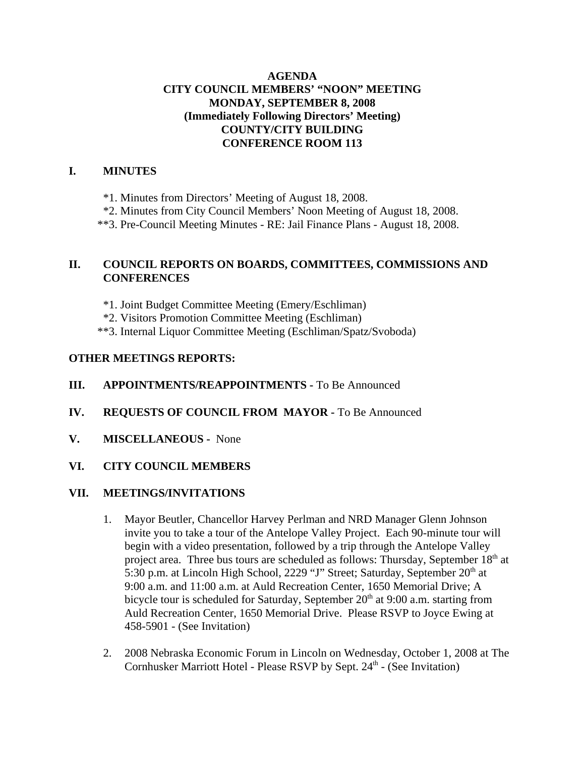## **AGENDA CITY COUNCIL MEMBERS' "NOON" MEETING MONDAY, SEPTEMBER 8, 2008 (Immediately Following Directors' Meeting) COUNTY/CITY BUILDING CONFERENCE ROOM 113**

#### **I. MINUTES**

\*1. Minutes from Directors' Meeting of August 18, 2008.

\*2. Minutes from City Council Members' Noon Meeting of August 18, 2008.

\*\*3. Pre-Council Meeting Minutes - RE: Jail Finance Plans - August 18, 2008.

# **II. COUNCIL REPORTS ON BOARDS, COMMITTEES, COMMISSIONS AND CONFERENCES**

\*1. Joint Budget Committee Meeting (Emery/Eschliman)

\*2. Visitors Promotion Committee Meeting (Eschliman)

\*\*3. Internal Liquor Committee Meeting (Eschliman/Spatz/Svoboda)

## **OTHER MEETINGS REPORTS:**

## **III.** APPOINTMENTS/REAPPOINTMENTS - To Be Announced

- **IV. REQUESTS OF COUNCIL FROM MAYOR -** To Be Announced
- **V. MISCELLANEOUS -** None

## **VI. CITY COUNCIL MEMBERS**

#### **VII. MEETINGS/INVITATIONS**

- 1. Mayor Beutler, Chancellor Harvey Perlman and NRD Manager Glenn Johnson invite you to take a tour of the Antelope Valley Project. Each 90-minute tour will begin with a video presentation, followed by a trip through the Antelope Valley project area. Three bus tours are scheduled as follows: Thursday, September  $18<sup>th</sup>$  at 5:30 p.m. at Lincoln High School, 2229 "J" Street; Saturday, September 20<sup>th</sup> at 9:00 a.m. and 11:00 a.m. at Auld Recreation Center, 1650 Memorial Drive; A bicycle tour is scheduled for Saturday, September  $20<sup>th</sup>$  at 9:00 a.m. starting from Auld Recreation Center, 1650 Memorial Drive. Please RSVP to Joyce Ewing at 458-5901 - (See Invitation)
- 2. 2008 Nebraska Economic Forum in Lincoln on Wednesday, October 1, 2008 at The Cornhusker Marriott Hotel - Please RSVP by Sept. 24<sup>th</sup> - (See Invitation)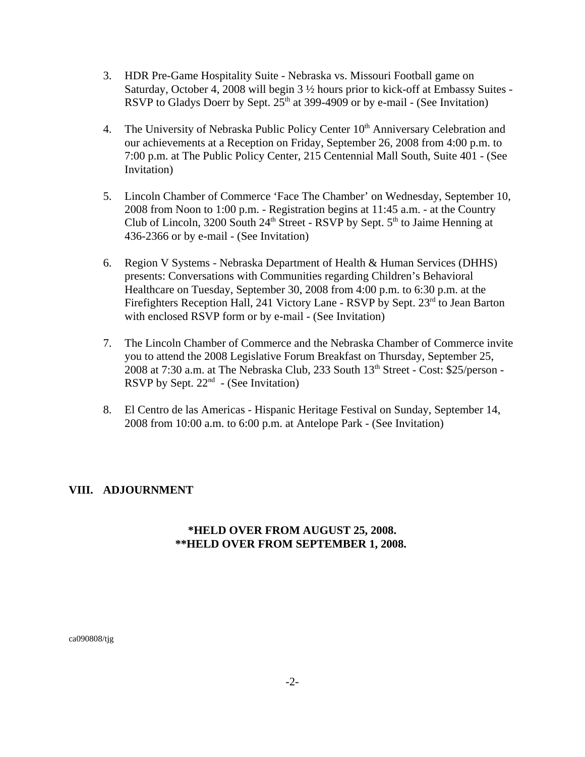- 3. HDR Pre-Game Hospitality Suite Nebraska vs. Missouri Football game on Saturday, October 4, 2008 will begin 3 ½ hours prior to kick-off at Embassy Suites - RSVP to Gladys Doerr by Sept.  $25<sup>th</sup>$  at 399-4909 or by e-mail - (See Invitation)
- 4. The University of Nebraska Public Policy Center 10<sup>th</sup> Anniversary Celebration and our achievements at a Reception on Friday, September 26, 2008 from 4:00 p.m. to 7:00 p.m. at The Public Policy Center, 215 Centennial Mall South, Suite 401 - (See Invitation)
- 5. Lincoln Chamber of Commerce 'Face The Chamber' on Wednesday, September 10, 2008 from Noon to 1:00 p.m. - Registration begins at 11:45 a.m. - at the Country Club of Lincoln, 3200 South  $24<sup>th</sup>$  Street - RSVP by Sept.  $5<sup>th</sup>$  to Jaime Henning at 436-2366 or by e-mail - (See Invitation)
- 6. Region V Systems Nebraska Department of Health & Human Services (DHHS) presents: Conversations with Communities regarding Children's Behavioral Healthcare on Tuesday, September 30, 2008 from 4:00 p.m. to 6:30 p.m. at the Firefighters Reception Hall, 241 Victory Lane - RSVP by Sept. 23<sup>rd</sup> to Jean Barton with enclosed RSVP form or by e-mail - (See Invitation)
- 7. The Lincoln Chamber of Commerce and the Nebraska Chamber of Commerce invite you to attend the 2008 Legislative Forum Breakfast on Thursday, September 25, 2008 at 7:30 a.m. at The Nebraska Club, 233 South  $13<sup>th</sup>$  Street - Cost: \$25/person -RSVP by Sept.  $22<sup>nd</sup>$  - (See Invitation)
- 8. El Centro de las Americas Hispanic Heritage Festival on Sunday, September 14, 2008 from 10:00 a.m. to 6:00 p.m. at Antelope Park - (See Invitation)

## **VIII. ADJOURNMENT**

## **\*HELD OVER FROM AUGUST 25, 2008. \*\*HELD OVER FROM SEPTEMBER 1, 2008.**

ca090808/tjg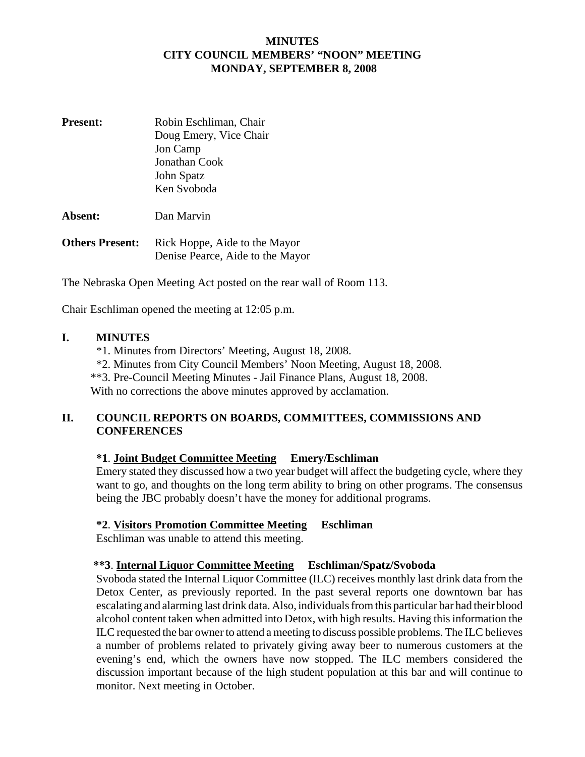#### **MINUTES CITY COUNCIL MEMBERS' "NOON" MEETING MONDAY, SEPTEMBER 8, 2008**

| Doug Emery, Vice Chair<br>Jon Camp<br>Jonathan Cook<br>John Spatz |
|-------------------------------------------------------------------|
| Ken Svoboda<br>Dan Marvin                                         |
|                                                                   |

| <b>Others Present:</b> | Rick Hoppe, Aide to the Mayor    |
|------------------------|----------------------------------|
|                        | Denise Pearce, Aide to the Mayor |

The Nebraska Open Meeting Act posted on the rear wall of Room 113.

Chair Eschliman opened the meeting at 12:05 p.m.

#### **I. MINUTES**

- \*1. Minutes from Directors' Meeting, August 18, 2008.
- \*2. Minutes from City Council Members' Noon Meeting, August 18, 2008.
- \*\*3. Pre-Council Meeting Minutes Jail Finance Plans, August 18, 2008.

With no corrections the above minutes approved by acclamation.

## **II. COUNCIL REPORTS ON BOARDS, COMMITTEES, COMMISSIONS AND CONFERENCES**

## **\*1**. **Joint Budget Committee Meeting Emery/Eschliman**

Emery stated they discussed how a two year budget will affect the budgeting cycle, where they want to go, and thoughts on the long term ability to bring on other programs. The consensus being the JBC probably doesn't have the money for additional programs.

## **\*2**. **Visitors Promotion Committee Meeting Eschliman**

Eschliman was unable to attend this meeting.

#### **\*\*3**. **Internal Liquor Committee Meeting Eschliman/Spatz/Svoboda**

Svoboda stated the Internal Liquor Committee (ILC) receives monthly last drink data from the Detox Center, as previously reported. In the past several reports one downtown bar has escalating and alarming last drink data. Also, individuals from this particular bar had their blood alcohol content taken when admitted into Detox, with high results. Having this information the ILC requested the bar owner to attend a meeting to discuss possible problems. The ILC believes a number of problems related to privately giving away beer to numerous customers at the evening's end, which the owners have now stopped. The ILC members considered the discussion important because of the high student population at this bar and will continue to monitor. Next meeting in October.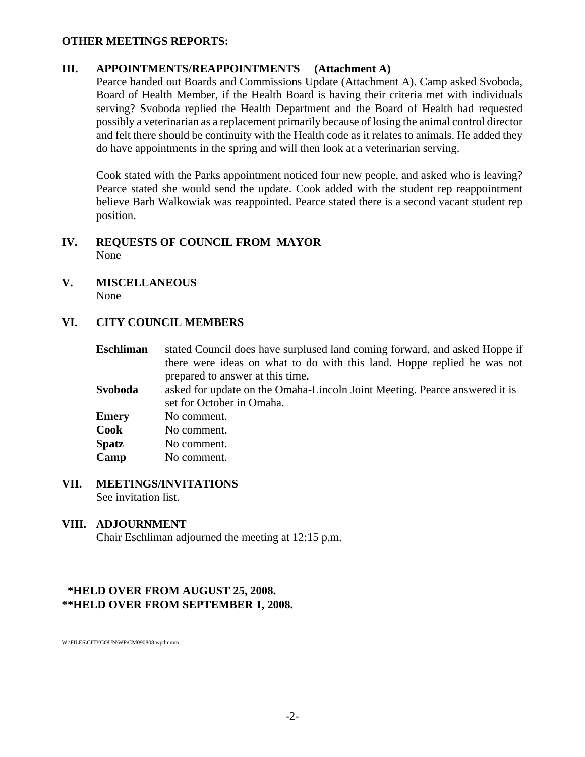#### **OTHER MEETINGS REPORTS:**

## **III. APPOINTMENTS/REAPPOINTMENTS (Attachment A)**

Pearce handed out Boards and Commissions Update (Attachment A). Camp asked Svoboda, Board of Health Member, if the Health Board is having their criteria met with individuals serving? Svoboda replied the Health Department and the Board of Health had requested possibly a veterinarian as a replacement primarily because of losing the animal control director and felt there should be continuity with the Health code as it relates to animals. He added they do have appointments in the spring and will then look at a veterinarian serving.

Cook stated with the Parks appointment noticed four new people, and asked who is leaving? Pearce stated she would send the update. Cook added with the student rep reappointment believe Barb Walkowiak was reappointed. Pearce stated there is a second vacant student rep position.

#### **IV. REQUESTS OF COUNCIL FROM MAYOR**  None

**V. MISCELLANEOUS** None

#### **VI. CITY COUNCIL MEMBERS**

- **Eschliman** stated Council does have surplused land coming forward, and asked Hoppe if there were ideas on what to do with this land. Hoppe replied he was not prepared to answer at this time. **Svoboda** asked for update on the Omaha-Lincoln Joint Meeting. Pearce answered it is set for October in Omaha. **Emery** No comment. **Cook** No comment. **Spatz** No comment. **Camp** No comment.
- **VII. MEETINGS/INVITATIONS** See invitation list.

#### **VIII. ADJOURNMENT**

Chair Eschliman adjourned the meeting at 12:15 p.m.

#### **\*HELD OVER FROM AUGUST 25, 2008. \*\*HELD OVER FROM SEPTEMBER 1, 2008.**

W:\FILES\CITYCOUN\WP\CM090808.wpdmmm